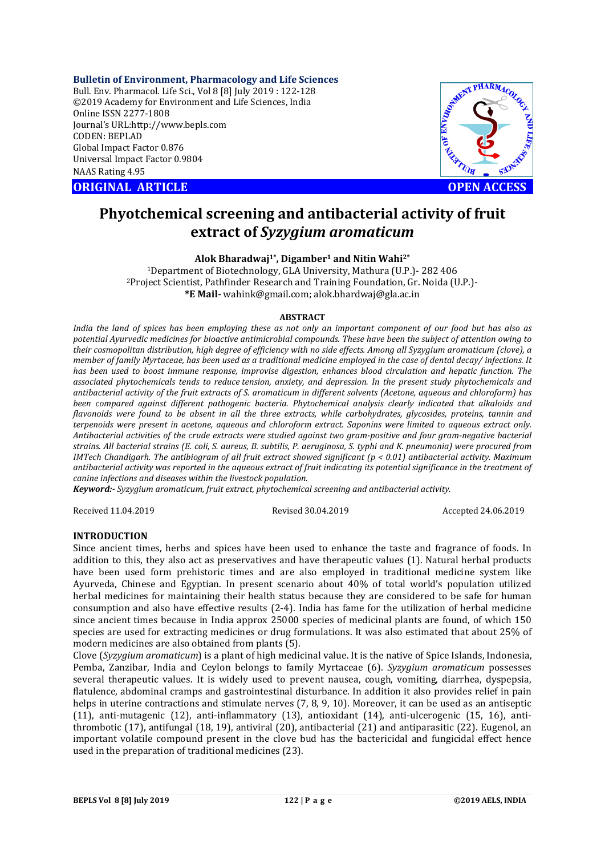**Bulletin of Environment, Pharmacology and Life Sciences** Bull. Env. Pharmacol. Life Sci., Vol 8 [8] July 2019 : 122-128 ©2019 Academy for Environment and Life Sciences, India Online ISSN 2277-1808 Journal's URL:http://www.bepls.com CODEN: BEPLAD Global Impact Factor 0.876 Universal Impact Factor 0.9804 NAAS Rating 4.95 Online ISSN 2277-1808<br>
Journal's URL:http://www.bepls.com<br>
CODEN: BEPLAD<br>
Clobal Impact Factor 0.876<br>
Universal Impact Factor 0.9804<br>
NAAS Rating 4.95<br>
ORIGINAL ARTICLE<br>
OPEN ACCESS



# **Phyotchemical screening and antibacterial activity of fruit extract of** *Syzygium aromaticum*

**Alok Bharadwaj1\*, Digamber1 and Nitin Wahi2\***

1Department of Biotechnology, GLA University, Mathura (U.P.)- 282 406 2Project Scientist, Pathfinder Research and Training Foundation, Gr. Noida (U.P.)- **\*E Mail-** wahink@gmail.com; alok.bhardwaj@gla.ac.in

#### **ABSTRACT**

*India the land of spices has been employing these as not only an important component of our food but has also as potential Ayurvedic medicines for bioactive antimicrobial compounds. These have been the subject of attention owing to their cosmopolitan distribution, high degree of efficiency with no side effects. Among all Syzygium aromaticum (clove), a member of family Myrtaceae, has been used as a traditional medicine employed in the case of dental decay/ infections. It has been used to boost immune response, improvise digestion, enhances blood circulation and hepatic function. The associated phytochemicals tends to reduce tension, anxiety, and depression. In the present study phytochemicals and antibacterial activity of the fruit extracts of S. aromaticum in different solvents (Acetone, aqueous and chloroform) has been compared against different pathogenic bacteria. Phytochemical analysis clearly indicated that alkaloids and flavonoids were found to be absent in all the three extracts, while carbohydrates, glycosides, proteins, tannin and terpenoids were present in acetone, aqueous and chloroform extract. Saponins were limited to aqueous extract only. Antibacterial activities of the crude extracts were studied against two gram-positive and four gram-negative bacterial strains. All bacterial strains (E. coli, S. aureus, B. subtilis, P. aeruginosa, S. typhi and K. pneumonia) were procured from IMTech Chandigarh. The antibiogram of all fruit extract showed significant (p < 0.01) antibacterial activity. Maximum antibacterial activity was reported in the aqueous extract of fruit indicating its potential significance in the treatment of canine infections and diseases within the livestock population.*

*Keyword:- Syzygium aromaticum, fruit extract, phytochemical screening and antibacterial activity.* 

Received 11.04.2019 Revised 30.04.2019 Accepted 24.06.2019

#### **INTRODUCTION**

Since ancient times, herbs and spices have been used to enhance the taste and fragrance of foods. In addition to this, they also act as preservatives and have therapeutic values (1). Natural herbal products have been used form prehistoric times and are also employed in traditional medicine system like Ayurveda, Chinese and Egyptian. In present scenario about 40% of total world's population utilized herbal medicines for maintaining their health status because they are considered to be safe for human consumption and also have effective results (2-4). India has fame for the utilization of herbal medicine since ancient times because in India approx 25000 species of medicinal plants are found, of which 150 species are used for extracting medicines or drug formulations. It was also estimated that about 25% of modern medicines are also obtained from plants (5).

Clove (*Syzygium aromaticum*) is a plant of high medicinal value. It is the native of Spice Islands, Indonesia, Pemba, Zanzibar, India and Ceylon belongs to family Myrtaceae (6). *Syzygium aromaticum* possesses several therapeutic values. It is widely used to prevent nausea, cough, vomiting, diarrhea, dyspepsia, flatulence, abdominal cramps and gastrointestinal disturbance. In addition it also provides relief in pain helps in uterine contractions and stimulate nerves (7, 8, 9, 10). Moreover, it can be used as an antiseptic (11), anti-mutagenic (12), anti-inflammatory (13), antioxidant (14), anti-ulcerogenic (15, 16), antithrombotic (17), antifungal (18, 19), antiviral (20), antibacterial (21) and antiparasitic (22). Eugenol, an important volatile compound present in the clove bud has the bactericidal and fungicidal effect hence used in the preparation of traditional medicines (23).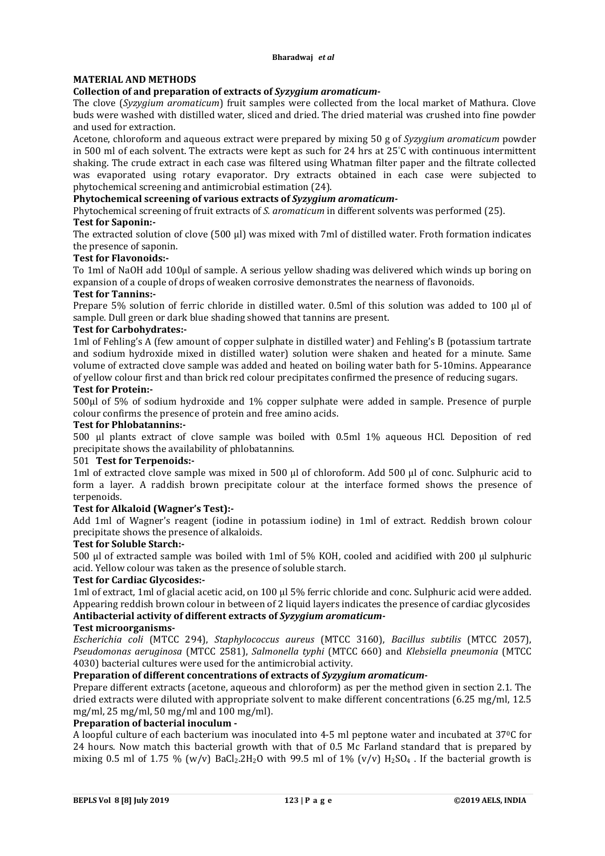### **MATERIAL AND METHODS**

### **Collection of and preparation of extracts of** *Syzygium aromaticum-*

The clove (*Syzygium aromaticum*) fruit samples were collected from the local market of Mathura. Clove buds were washed with distilled water, sliced and dried. The dried material was crushed into fine powder and used for extraction.

Acetone, chloroform and aqueous extract were prepared by mixing 50 g of *Syzygium aromaticum* powder in 500 ml of each solvent. The extracts were kept as such for 24 hrs at 25° C with continuous intermittent shaking. The crude extract in each case was filtered using Whatman filter paper and the filtrate collected was evaporated using rotary evaporator. Dry extracts obtained in each case were subjected to phytochemical screening and antimicrobial estimation (24).

### **Phytochemical screening of various extracts of** *Syzygium aromaticum-*

Phytochemical screening of fruit extracts of *S. aromaticum* in different solvents was performed (25).

# **Test for Saponin:-**

The extracted solution of clove (500  $\mu$ ) was mixed with 7ml of distilled water. Froth formation indicates the presence of saponin.

### **Test for Flavonoids:-**

To 1ml of NaOH add 100µl of sample. A serious yellow shading was delivered which winds up boring on expansion of a couple of drops of weaken corrosive demonstrates the nearness of flavonoids.

### **Test for Tannins:-**

Prepare 5% solution of ferric chloride in distilled water. 0.5ml of this solution was added to 100 µl of sample. Dull green or dark blue shading showed that tannins are present.

### **Test for Carbohydrates:-**

1ml of Fehling's A (few amount of copper sulphate in distilled water) and Fehling's B (potassium tartrate and sodium hydroxide mixed in distilled water) solution were shaken and heated for a minute. Same volume of extracted clove sample was added and heated on boiling water bath for 5-10mins. Appearance of yellow colour first and than brick red colour precipitates confirmed the presence of reducing sugars.

### **Test for Protein:-**

500µl of 5% of sodium hydroxide and 1% copper sulphate were added in sample. Presence of purple colour confirms the presence of protein and free amino acids.

### **Test for Phlobatannins:-**

500 µl plants extract of clove sample was boiled with 0.5ml 1% aqueous HCl. Deposition of red precipitate shows the availability of phlobatannins.

### 501 **Test for Terpenoids:-**

1ml of extracted clove sample was mixed in 500 µl of chloroform. Add 500 µl of conc. Sulphuric acid to form a layer. A raddish brown precipitate colour at the interface formed shows the presence of terpenoids.

### **Test for Alkaloid (Wagner's Test):-**

Add 1ml of Wagner's reagent (iodine in potassium iodine) in 1ml of extract. Reddish brown colour precipitate shows the presence of alkaloids.

#### **Test for Soluble Starch:-**

500 µl of extracted sample was boiled with 1ml of 5% KOH, cooled and acidified with 200 µl sulphuric acid. Yellow colour was taken as the presence of soluble starch.

### **Test for Cardiac Glycosides:-**

1ml of extract, 1ml of glacial acetic acid, on 100 µl 5% ferric chloride and conc. Sulphuric acid were added. Appearing reddish brown colour in between of 2 liquid layers indicates the presence of cardiac glycosides **Antibacterial activity of different extracts of** *Syzygium aromaticum-*

#### **Test microorganisms-**

*Escherichia coli* (MTCC 294), *Staphylococcus aureus* (MTCC 3160), *Bacillus subtilis* (MTCC 2057), *Pseudomonas aeruginosa* (MTCC 2581), *Salmonella typhi* (MTCC 660) and *Klebsiella pneumonia* (MTCC 4030) bacterial cultures were used for the antimicrobial activity.

# **Preparation of different concentrations of extracts of** *Syzygium aromaticum-*

Prepare different extracts (acetone, aqueous and chloroform) as per the method given in section 2.1. The dried extracts were diluted with appropriate solvent to make different concentrations (6.25 mg/ml, 12.5 mg/ml, 25 mg/ml, 50 mg/ml and 100 mg/ml).

### **Preparation of bacterial inoculum -**

A loopful culture of each bacterium was inoculated into 4-5 ml peptone water and incubated at 370C for 24 hours. Now match this bacterial growth with that of 0.5 Mc Farland standard that is prepared by mixing 0.5 ml of 1.75 % (w/v)  $BaCl<sub>2</sub>·2H<sub>2</sub>O$  with 99.5 ml of 1% (v/v)  $H<sub>2</sub>SO<sub>4</sub>$ . If the bacterial growth is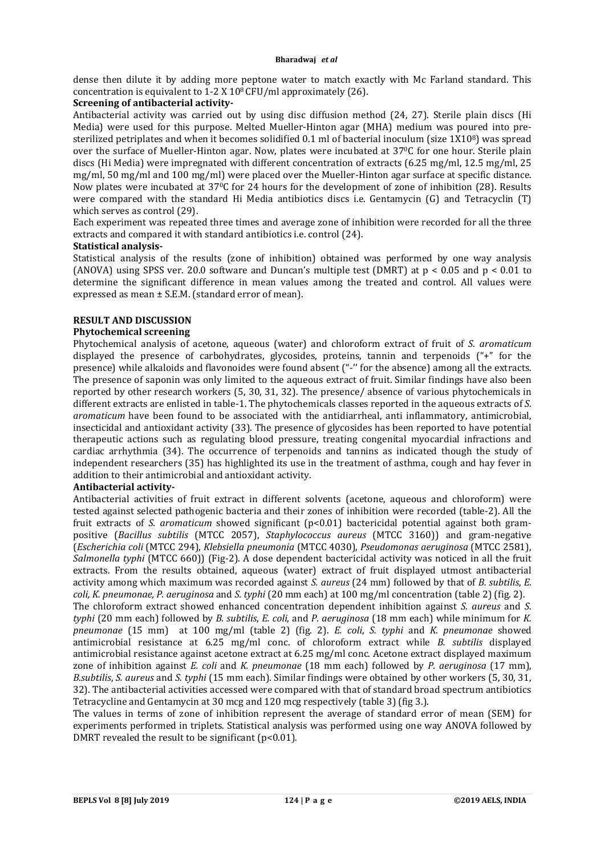dense then dilute it by adding more peptone water to match exactly with Mc Farland standard. This concentration is equivalent to  $1-2 \text{ X } 10^8 \text{ CFU/ml}$  approximately (26).

### **Screening of antibacterial activity***-*

Antibacterial activity was carried out by using disc diffusion method (24, 27). Sterile plain discs (Hi Media) were used for this purpose. Melted Mueller-Hinton agar (MHA) medium was poured into presterilized petriplates and when it becomes solidified 0.1 ml of bacterial inoculum (size 1X108) was spread over the surface of Mueller-Hinton agar. Now, plates were incubated at 37<sup>o</sup>C for one hour. Sterile plain discs (Hi Media) were impregnated with different concentration of extracts (6.25 mg/ml, 12.5 mg/ml, 25 mg/ml, 50 mg/ml and 100 mg/ml) were placed over the Mueller-Hinton agar surface at specific distance. Now plates were incubated at 370C for 24 hours for the development of zone of inhibition (28). Results were compared with the standard Hi Media antibiotics discs i.e. Gentamycin (G) and Tetracyclin (T) which serves as control (29).

Each experiment was repeated three times and average zone of inhibition were recorded for all the three extracts and compared it with standard antibiotics i.e. control (24).

### **Statistical analysis-**

Statistical analysis of the results (zone of inhibition) obtained was performed by one way analysis (ANOVA) using SPSS ver. 20.0 software and Duncan's multiple test (DMRT) at p < 0.05 and p < 0.01 to determine the significant difference in mean values among the treated and control. All values were expressed as mean ± S.E.M. (standard error of mean).

### **RESULT AND DISCUSSION**

### **Phytochemical screening**

Phytochemical analysis of acetone, aqueous (water) and chloroform extract of fruit of *S. aromaticum*  displayed the presence of carbohydrates, glycosides, proteins, tannin and terpenoids ("+" for the presence) while alkaloids and flavonoides were found absent ("-'' for the absence) among all the extracts. The presence of saponin was only limited to the aqueous extract of fruit. Similar findings have also been reported by other research workers (5, 30, 31, 32). The presence/ absence of various phytochemicals in different extracts are enlisted in table-1. The phytochemicals classes reported in the aqueous extracts of *S. aromaticum* have been found to be associated with the antidiarrheal, anti inflammatory, antimicrobial, insecticidal and antioxidant activity (33). The presence of glycosides has been reported to have potential therapeutic actions such as regulating blood pressure, treating congenital myocardial infractions and cardiac arrhythmia (34). The occurrence of terpenoids and tannins as indicated though the study of independent researchers (35) has highlighted its use in the treatment of asthma, cough and hay fever in addition to their antimicrobial and antioxidant activity.

### **Antibacterial activity-**

Antibacterial activities of fruit extract in different solvents (acetone, aqueous and chloroform) were tested against selected pathogenic bacteria and their zones of inhibition were recorded (table-2). All the fruit extracts of *S. aromaticum* showed significant (p<0.01) bactericidal potential against both grampositive (*Bacillus subtilis* (MTCC 2057), *Staphylococcus aureus* (MTCC 3160)) and gram-negative (*Escherichia coli* (MTCC 294), *Klebsiella pneumonia* (MTCC 4030), *Pseudomonas aeruginosa* (MTCC 2581), *Salmonella typhi* (MTCC 660)) (Fig-2). A dose dependent bactericidal activity was noticed in all the fruit extracts. From the results obtained, aqueous (water) extract of fruit displayed utmost antibacterial activity among which maximum was recorded against *S. aureus* (24 mm) followed by that of *B. subtilis*, *E. coli, K. pneumonae, P. aeruginosa* and *S. typhi* (20 mm each) at 100 mg/ml concentration (table 2) (fig. 2).

The chloroform extract showed enhanced concentration dependent inhibition against *S. aureus* and *S. typhi* (20 mm each) followed by *B. subtilis*, *E. coli*, and *P. aeruginosa* (18 mm each) while minimum for *K. pneumonae* (15 mm) at 100 mg/ml (table 2) (fig. 2). *E. coli*, *S. typhi* and *K. pneumonae* showed antimicrobial resistance at 6.25 mg/ml conc. of chloroform extract while *B. subtilis* displayed antimicrobial resistance against acetone extract at 6.25 mg/ml conc. Acetone extract displayed maximum zone of inhibition against *E. coli* and *K. pneumonae* (18 mm each) followed by *P. aeruginosa* (17 mm), *B.subtilis*, *S. aureus* and *S. typhi* (15 mm each). Similar findings were obtained by other workers (5, 30, 31, 32). The antibacterial activities accessed were compared with that of standard broad spectrum antibiotics Tetracycline and Gentamycin at 30 mcg and 120 mcg respectively (table 3) (fig 3.).

The values in terms of zone of inhibition represent the average of standard error of mean (SEM) for experiments performed in triplets. Statistical analysis was performed using one way ANOVA followed by DMRT revealed the result to be significant ( $p$ <0.01).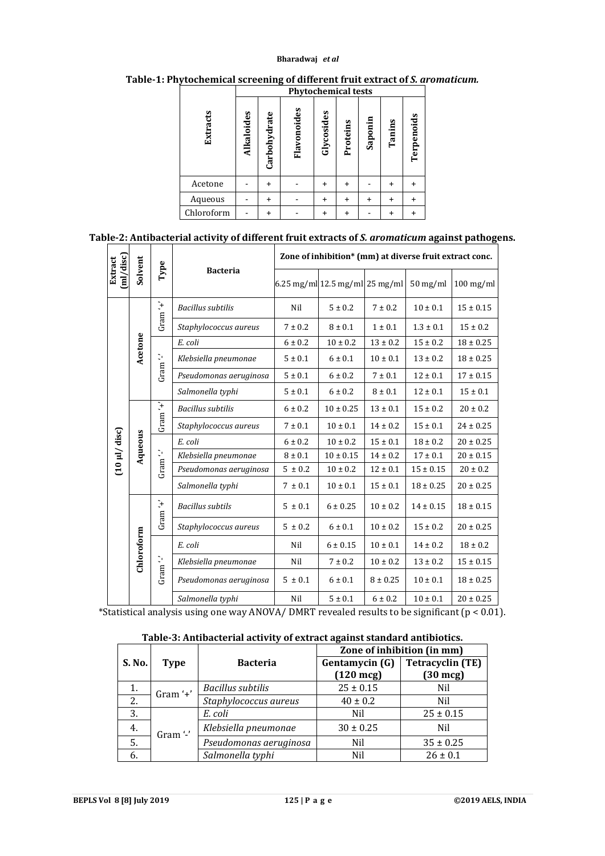### **Bharadwaj** *et al*

**Table-1: Phytochemical screening of different fruit extract of** *S. aromaticum.*

|            | <b>Phytochemical tests</b> |              |             |            |           |           |           |            |
|------------|----------------------------|--------------|-------------|------------|-----------|-----------|-----------|------------|
| Extracts   | <b>Alkaloides</b>          | Carbohydrate | Flavonoides | Glycosides | Proteins  | Saponin   | Tanins    | Terpenoids |
| Acetone    |                            | ÷            |             | $\ddot{}$  | $\ddot{}$ |           | $\ddot{}$ | $\ddot{}$  |
| Aqueous    |                            | $\ddot{}$    |             | +          | $\ddot{}$ | $\ddot{}$ | $\ddot{}$ | ÷          |
| Chloroform |                            | $\ddot{}$    |             | +          | $\ddot{}$ |           | $\ddot{}$ | $\ddot{}$  |

## **Table-2: Antibacterial activity of different fruit extracts of** *S. aromaticum* **against pathogens.**

|                            |            | Type               |                          | Zone of inhibition* (mm) at diverse fruit extract conc. |                                |              |                       |               |  |
|----------------------------|------------|--------------------|--------------------------|---------------------------------------------------------|--------------------------------|--------------|-----------------------|---------------|--|
| ml/disc<br>Extract         | Solvent    |                    | <b>Bacteria</b>          |                                                         | 6.25 mg/ml 12.5 mg/ml 25 mg/ml |              | $50 \,\mathrm{mg/ml}$ | $100$ mg/ml   |  |
| $(10 \mu l / \text{disc})$ |            | Gram $f' + f$      | <b>Bacillus subtilis</b> | Nil                                                     | $5 \pm 0.2$                    | $7 \pm 0.2$  | $10 \pm 0.1$          | $15 \pm 0.15$ |  |
|                            |            |                    | Staphylococcus aureus    | $7 \pm 0.2$                                             | $8 \pm 0.1$                    | $1 \pm 0.1$  | $1.3 \pm 0.1$         | $15 \pm 0.2$  |  |
|                            |            |                    | E. coli                  | $6 \pm 0.2$                                             | $10 \pm 0.2$                   | $13 \pm 0.2$ | $15 \pm 0.2$          | $18 \pm 0.25$ |  |
|                            | Acetone    | Gram <sup>1</sup>  | Klebsiella pneumonae     | $5 \pm 0.1$                                             | 6 ± 0.1                        | $10 \pm 0.1$ | $13 \pm 0.2$          | $18 \pm 0.25$ |  |
|                            |            |                    | Pseudomonas aeruginosa   | $5 \pm 0.1$                                             | $6 \pm 0.2$                    | $7 \pm 0.1$  | $12 \pm 0.1$          | $17 \pm 0.15$ |  |
|                            |            |                    | Salmonella typhi         | $5 \pm 0.1$                                             | 6 ± 0.2                        | $8 \pm 0.1$  | $12 \pm 0.1$          | $15 \pm 0.1$  |  |
|                            |            | Gram $'$ +'        | <b>Bacillus</b> subtilis | $6 \pm 0.2$                                             | $10 \pm 0.25$                  | $13 \pm 0.1$ | $15 \pm 0.2$          | $20 \pm 0.2$  |  |
|                            |            |                    | Staphylococcus aureus    | $7 \pm 0.1$                                             | $10 \pm 0.1$                   | $14 \pm 0.2$ | $15 \pm 0.1$          | $24 \pm 0.25$ |  |
|                            | Aqueous    | Gram <sup>12</sup> | E. coli                  | $6 \pm 0.2$                                             | $10 \pm 0.2$                   | $15 \pm 0.1$ | $18 \pm 0.2$          | $20 \pm 0.25$ |  |
|                            |            |                    | Klebsiella pneumonae     | $8 \pm 0.1$                                             | $10 \pm 0.15$                  | $14 \pm 0.2$ | $17 \pm 0.1$          | $20 \pm 0.15$ |  |
|                            |            |                    | Pseudomonas aeruginosa   | $5 \pm 0.2$                                             | $10 \pm 0.2$                   | $12 \pm 0.1$ | $15 \pm 0.15$         | $20 \pm 0.2$  |  |
|                            |            |                    | Salmonella typhi         | $7 \pm 0.1$                                             | $10 \pm 0.1$                   | $15 \pm 0.1$ | $18 \pm 0.25$         | $20 \pm 0.25$ |  |
|                            |            | Gram $'$ + $'$     | <b>Bacillus</b> subtils  | $5 \pm 0.1$                                             | $6 \pm 0.25$                   | $10 \pm 0.2$ | $14 \pm 0.15$         | $18 \pm 0.15$ |  |
|                            |            |                    | Staphylococcus aureus    | $5 \pm 0.2$                                             | $6 \pm 0.1$                    | $10 \pm 0.2$ | $15 \pm 0.2$          | $20 \pm 0.25$ |  |
|                            | Chloroform | Gram <sup>1</sup>  | E. coli                  | Nil                                                     | $6 \pm 0.15$                   | $10 \pm 0.1$ | $14 \pm 0.2$          | $18 \pm 0.2$  |  |
|                            |            |                    | Klebsiella pneumonae     | Nil                                                     | $7 \pm 0.2$                    | $10 \pm 0.2$ | $13 \pm 0.2$          | $15 \pm 0.15$ |  |
|                            |            |                    | Pseudomonas aeruginosa   | $5 \pm 0.1$                                             | $6 \pm 0.1$                    | $8 \pm 0.25$ | $10 \pm 0.1$          | $18 \pm 0.25$ |  |
|                            |            |                    | Salmonella typhi         | Nil                                                     | $5 \pm 0.1$                    | $6 \pm 0.2$  | $10 \pm 0.1$          | $20 \pm 0.25$ |  |

\*Statistical analysis using one way ANOVA/ DMRT revealed results to be significant  $(p < 0.01)$ .

### **Table-3: Antibacterial activity of extract against standard antibiotics.**

|        |             |                          | Zone of inhibition (in mm) |                         |  |  |
|--------|-------------|--------------------------|----------------------------|-------------------------|--|--|
| S. No. | <b>Type</b> | <b>Bacteria</b>          | Gentamycin (G)             | <b>Tetracyclin (TE)</b> |  |  |
|        |             |                          | $(120 \text{ mcg})$        | $(30 \text{ mcg})$      |  |  |
| 1.     | Gram '+'    | <b>Bacillus subtilis</b> | $25 \pm 0.15$              | Nil                     |  |  |
| 2.     |             | Staphylococcus aureus    | $40 \pm 0.2$               | Nil                     |  |  |
| 3.     | Gram '-'    | E. coli                  | Nil                        | $25 \pm 0.15$           |  |  |
| 4.     |             | Klebsiella pneumonae     | $30 \pm 0.25$              | Nil                     |  |  |
| 5.     |             | Pseudomonas aeruginosa   | Nil                        | $35 \pm 0.25$           |  |  |
| 6.     |             | Salmonella typhi         | Nil                        | $26 \pm 0.1$            |  |  |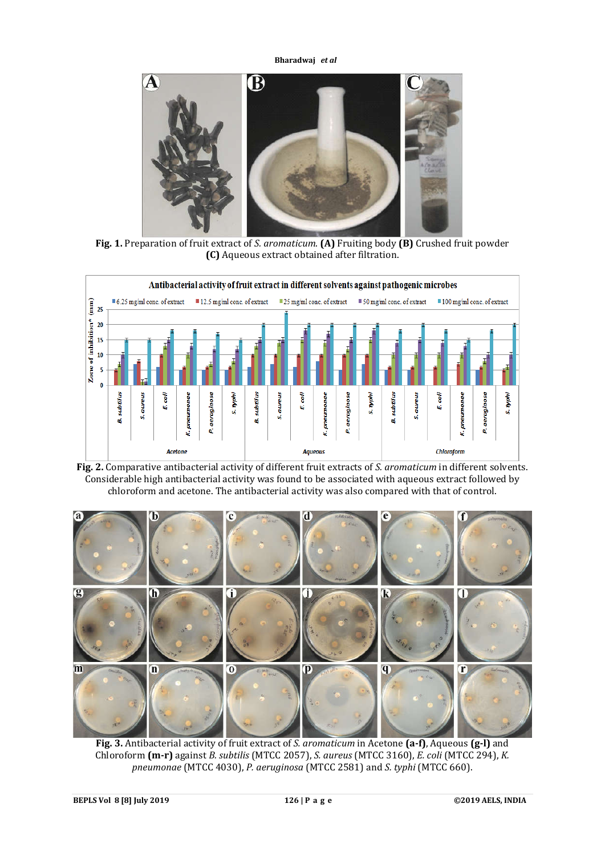**Bharadwaj** *et al*



**Fig. 1.** Preparation of fruit extract of *S. aromaticum*. **(A)** Fruiting body **(B)** Crushed fruit powder **(C)** Aqueous extract obtained after filtration.



**Fig. 2.** Comparative antibacterial activity of different fruit extracts of *S. aromaticum* in different solvents. Considerable high antibacterial activity was found to be associated with aqueous extract followed by chloroform and acetone. The antibacterial activity was also compared with that of control.



**Fig. 3.** Antibacterial activity of fruit extract of *S. aromaticum* in Acetone **(a-f)**, Aqueous **(g-l)** and Chloroform **(m-r)** against *B. subtilis* (MTCC 2057), *S. aureus* (MTCC 3160), *E. coli* (MTCC 294), *K. pneumonae* (MTCC 4030), *P. aeruginosa* (MTCC 2581) and *S. typhi* (MTCC 660).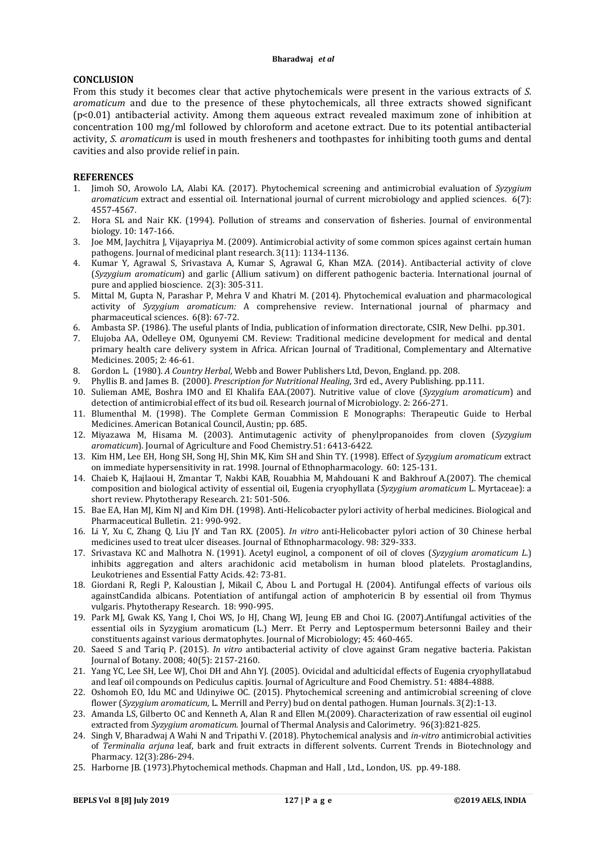#### **CONCLUSION**

From this study it becomes clear that active phytochemicals were present in the various extracts of *S. aromaticum* and due to the presence of these phytochemicals, all three extracts showed significant (p<0.01) antibacterial activity. Among them aqueous extract revealed maximum zone of inhibition at concentration 100 mg/ml followed by chloroform and acetone extract. Due to its potential antibacterial activity, *S. aromaticum* is used in mouth fresheners and toothpastes for inhibiting tooth gums and dental cavities and also provide relief in pain.

#### **REFERENCES**

- 1. Jimoh SO, Arowolo LA, Alabi KA. (2017). Phytochemical screening and antimicrobial evaluation of *Syzygium aromaticum* extract and essential oil. International journal of current microbiology and applied sciences. 6(7): 4557-4567.
- 2. Hora SL and Nair KK. (1994). Pollution of streams and conservation of fisheries. Journal of environmental biology. 10: 147-166.
- 3. Joe MM, Jaychitra J, Vijayapriya M. (2009). Antimicrobial activity of some common spices against certain human pathogens. Journal of medicinal plant research. 3(11): 1134-1136.
- 4. Kumar Y, Agrawal S, Srivastava A, Kumar S, Agrawal G, Khan MZA. (2014). Antibacterial activity of clove (*Syzygium aromaticum*) and garlic (Allium sativum) on different pathogenic bacteria. International journal of pure and applied bioscience. 2(3): 305-311.
- 5. Mittal M, Gupta N, Parashar P, Mehra V and Khatri M. (2014). Phytochemical evaluation and pharmacological activity of *Syzygium aromaticum:* A comprehensive review. International journal of pharmacy and pharmaceutical sciences. 6(8): 67-72.
- 6. Ambasta SP. (1986). The useful plants of India, publication of information directorate, CSIR, New Delhi. pp.301.
- 7. Elujoba AA, Odelleye OM, Ogunyemi CM. Review: Traditional medicine development for medical and dental primary health care delivery system in Africa. African Journal of Traditional, Complementary and Alternative Medicines. 2005; 2: 46-61.
- 8. Gordon L. (1980). *A Country Herbal*, Webb and Bower Publishers Ltd, Devon, England. pp. 208.
- 9. Phyllis B. and James B. (2000). *Prescription for Nutritional Healing*, 3rd ed., Avery Publishing. pp.111.
- 10. Sulieman AME, Boshra IMO and El Khalifa EAA.(2007). Nutritive value of clove (*Syzygium aromaticum*) and detection of antimicrobial effect of its bud oil. Research journal of Microbiology. 2: 266-271.
- 11. Blumenthal M. (1998). The Complete German Commission E Monographs: Therapeutic Guide to Herbal Medicines. American Botanical Council, Austin; pp. 685.
- 12. Miyazawa M, Hisama M. (2003). Antimutagenic activity of phenylpropanoides from cloven (*Syzygium aromaticum*). Journal of Agriculture and Food Chemistry.51: 6413-6422.
- 13. Kim HM, Lee EH, Hong SH, Song HJ, Shin MK, Kim SH and Shin TY. (1998). Effect of *Syzygium aromaticum* extract on immediate hypersensitivity in rat. 1998. Journal of Ethnopharmacology. 60: 125-131.
- 14. Chaieb K, Hajlaoui H, Zmantar T, Nakbi KAB, Rouabhia M, Mahdouani K and Bakhrouf A.(2007). The chemical composition and biological activity of essential oil, Eugenia cryophyllata (*Syzygium aromaticum* L. Myrtaceae): a short review. Phytotherapy Research. 21: 501-506.
- 15. Bae EA, Han MJ, Kim NJ and Kim DH. (1998). Anti-Helicobacter pylori activity of herbal medicines. Biological and Pharmaceutical Bulletin. 21: 990-992.
- 16. Li Y, Xu C, Zhang Q, Liu JY and Tan RX. (2005). *In vitro* anti-Helicobacter pylori action of 30 Chinese herbal medicines used to treat ulcer diseases. Journal of Ethnopharmacology. 98: 329-333.
- 17. Srivastava KC and Malhotra N. (1991). Acetyl euginol, a component of oil of cloves (*Syzygium aromaticum L.*) inhibits aggregation and alters arachidonic acid metabolism in human blood platelets. Prostaglandins, Leukotrienes and Essential Fatty Acids. 42: 73-81.
- 18. Giordani R, Regli P, Kaloustian J, Mikail C, Abou L and Portugal H. (2004). Antifungal effects of various oils againstCandida albicans. Potentiation of antifungal action of amphotericin B by essential oil from Thymus vulgaris. Phytotherapy Research. 18: 990-995.
- 19. Park MJ, Gwak KS, Yang I, Choi WS, Jo HJ, Chang WJ, Jeung EB and Choi IG. (2007).Antifungal activities of the essential oils in Syzygium aromaticum (L.) Merr. Et Perry and Leptospermum betersonni Bailey and their constituents against various dermatophytes. Journal of Microbiology; 45: 460-465.
- 20. Saeed S and Tariq P. (2015). *In vitro* antibacterial activity of clove against Gram negative bacteria. Pakistan Journal of Botany. 2008; 40(5): 2157-2160.
- 21. Yang YC, Lee SH, Lee WJ, Choi DH and Ahn YJ. (2005). Ovicidal and adulticidal effects of Eugenia cryophyllatabud and leaf oil compounds on Pediculus capitis. Journal of Agriculture and Food Chemistry. 51: 4884-4888.
- 22. Oshomoh EO, Idu MC and Udinyiwe OC. (2015). Phytochemical screening and antimicrobial screening of clove flower (*Syzygium aromaticum,* L. Merrill and Perry) bud on dental pathogen. Human Journals. 3(2):1-13.
- 23. Amanda LS, Gilberto OC and Kenneth A, Alan R and Ellen M.(2009). Characterization of raw essential oil euginol extracted from *Syzygium aromaticum.* Journal of Thermal Analysis and Calorimetry. 96(3):821-825.
- 24. Singh V, Bharadwaj A Wahi N and Tripathi V. (2018). Phytochemical analysis and *in-vitro* antimicrobial activities of *Terminalia arjuna* leaf, bark and fruit extracts in different solvents. Current Trends in Biotechnology and Pharmacy. 12(3):286-294.
- 25. Harborne JB. (1973).Phytochemical methods. Chapman and Hall , Ltd., London, US. pp. 49-188.